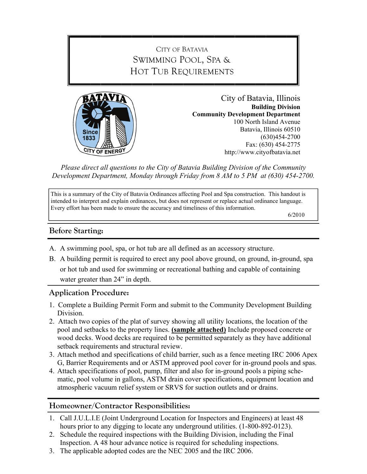



City of Batavia, Illinois **Building Division Community Development Department**  100 North Island Avenue Batavia, Illinois 60510 (630)454-2700 Fax: (630) 454-2775 http://www.cityofbatavia.net

*Please direct all questions to the City of Batavia Building Division of the Community Development Department, Monday through Friday from 8 AM to 5 PM at (630) 454-2700.*

This is a summary of the City of Batavia Ordinances affecting Pool and Spa construction. This handout is intended to interpret and explain ordinances, but does not represent or replace actual ordinance language. Every effort has been made to ensure the accuracy and timeliness of this information.

6/2010

### **Before Starting:**

- A. A swimming pool, spa, or hot tub are all defined as an accessory structure.
- B. A building permit is required to erect any pool above ground, on ground, in-ground, spa or hot tub and used for swimming or recreational bathing and capable of containing water greater than 24" in depth.

### **Application Procedure:**

- 1. Complete a Building Permit Form and submit to the Community Development Building Division.
- 2. Attach two copies of the plat of survey showing all utility locations, the location of the pool and setbacks to the property lines. **(sample attached)** Include proposed concrete or wood decks. Wood decks are required to be permitted separately as they have additional setback requirements and structural review.
- 3. Attach method and specifications of child barrier, such as a fence meeting IRC 2006 Apex G, Barrier Requirements and or ASTM approved pool cover for in-ground pools and spas.
- 4. Attach specifications of pool, pump, filter and also for in-ground pools a piping schematic, pool volume in gallons, ASTM drain cover specifications, equipment location and atmospheric vacuum relief system or SRVS for suction outlets and or drains.

## **Homeowner/Contractor Responsibilities:**

- 1. Call J.U.L.I.E (Joint Underground Location for Inspectors and Engineers) at least 48 hours prior to any digging to locate any underground utilities. (1-800-892-0123).
- 2. Schedule the required inspections with the Building Division, including the Final Inspection. A 48 hour advance notice is required for scheduling inspections.
- 3. The applicable adopted codes are the NEC 2005 and the IRC 2006.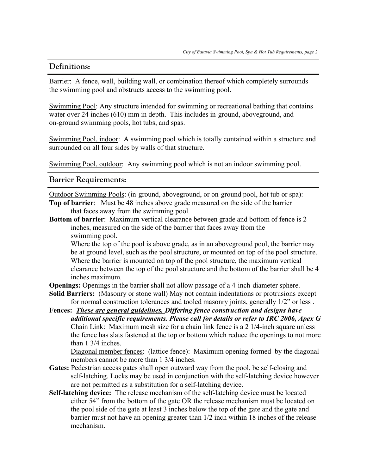### **Definitions:**

Barrier: A fence, wall, building wall, or combination thereof which completely surrounds the swimming pool and obstructs access to the swimming pool.

Swimming Pool: Any structure intended for swimming or recreational bathing that contains water over 24 inches (610) mm in depth. This includes in-ground, aboveground, and on-ground swimming pools, hot tubs, and spas.

Swimming Pool, indoor: A swimming pool which is totally contained within a structure and surrounded on all four sides by walls of that structure.

Swimming Pool, outdoor: Any swimming pool which is not an indoor swimming pool.

### **Barrier Requirements:**

Outdoor Swimming Pools: (in-ground, aboveground, or on-ground pool, hot tub or spa):

**Top of barrier**: Must be 48 inches above grade measured on the side of the barrier that faces away from the swimming pool.

**Bottom of barrier**: Maximum vertical clearance between grade and bottom of fence is 2 inches, measured on the side of the barrier that faces away from the swimming pool.

 Where the top of the pool is above grade, as in an aboveground pool, the barrier may be at ground level, such as the pool structure, or mounted on top of the pool structure. Where the barrier is mounted on top of the pool structure, the maximum vertical clearance between the top of the pool structure and the bottom of the barrier shall be 4 inches maximum.

**Openings:** Openings in the barrier shall not allow passage of a 4-inch-diameter sphere. **Solid Barriers:** (Masonry or stone wall) May not contain indentations or protrusions except

for normal construction tolerances and tooled masonry joints, generally 1/2" or less .

**Fences:** *These are general guidelines. Differing fence construction and designs have additional specific requirements. Please call for details or refer to IRC 2006, Apex G*  Chain Link: Maximum mesh size for a chain link fence is a 2 1/4-inch square unless the fence has slats fastened at the top or bottom which reduce the openings to not more than 1 3/4 inches.

 Diagonal member fences: (lattice fence): Maximum opening formed by the diagonal members cannot be more than 1 3/4 inches.

- **Gates:** Pedestrian access gates shall open outward way from the pool, be self-closing and self-latching. Locks may be used in conjunction with the self-latching device however are not permitted as a substitution for a self-latching device.
- **Self-latching device:** The release mechanism of the self-latching device must be located either 54" from the bottom of the gate OR the release mechanism must be located on the pool side of the gate at least 3 inches below the top of the gate and the gate and barrier must not have an opening greater than 1/2 inch within 18 inches of the release mechanism.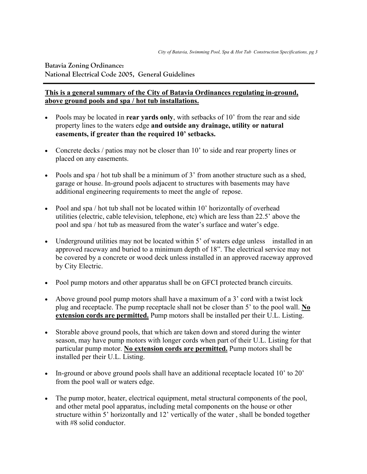**Batavia Zoning Ordinance: National Electrical Code 2005, General Guidelines** 

### **This is a general summary of the City of Batavia Ordinances regulating in-ground, above ground pools and spa / hot tub installations.**

- Pools may be located in **rear yards only**, with setbacks of 10' from the rear and side property lines to the waters edge **and outside any drainage, utility or natural easements, if greater than the required 10' setbacks.**
- Concrete decks / patios may not be closer than 10' to side and rear property lines or placed on any easements.
- Pools and spa / hot tub shall be a minimum of 3' from another structure such as a shed, garage or house. In-ground pools adjacent to structures with basements may have additional engineering requirements to meet the angle of repose.
- Pool and spa / hot tub shall not be located within 10' horizontally of overhead utilities (electric, cable television, telephone, etc) which are less than 22.5' above the pool and spa / hot tub as measured from the water's surface and water's edge.
- Underground utilities may not be located within 5' of waters edge unless installed in an approved raceway and buried to a minimum depth of 18". The electrical service may not be covered by a concrete or wood deck unless installed in an approved raceway approved by City Electric.
- Pool pump motors and other apparatus shall be on GFCI protected branch circuits.
- Above ground pool pump motors shall have a maximum of a 3' cord with a twist lock plug and receptacle. The pump receptacle shall not be closer than 5' to the pool wall. **No extension cords are permitted.** Pump motors shall be installed per their U.L. Listing.
- Storable above ground pools, that which are taken down and stored during the winter season, may have pump motors with longer cords when part of their U.L. Listing for that particular pump motor. **No extension cords are permitted.** Pump motors shall be installed per their U.L. Listing.
- In-ground or above ground pools shall have an additional receptacle located 10' to 20' from the pool wall or waters edge.
- The pump motor, heater, electrical equipment, metal structural components of the pool, and other metal pool apparatus, including metal components on the house or other structure within 5' horizontally and 12' vertically of the water , shall be bonded together with #8 solid conductor.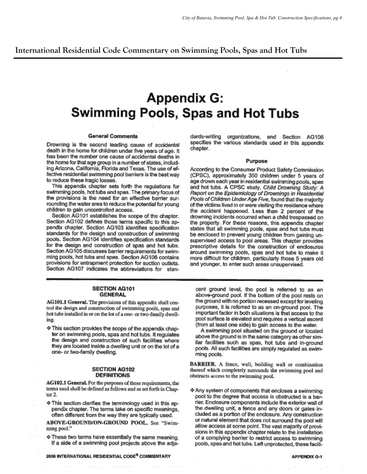# Appendix G: **Swimming Pools, Spas and Hot Tubs**

### **General Comments**

Drowning is the second leading cause of accidental death in the home for children under five years of age. It has been the number one cause of accidental deaths in the home for that age group in a number of states, including Arizona, California, Florida and Texas. The use of effective residential swimming pool barriers is the best way to reduce these tragic losses.

This appendix chapter sets forth the regulations for swimming pools, hot tubs and spas. The primary focus of the provisions is the need for an effective barrier surrounding the water area to reduce the potential for young children to gain uncontrolled access.

Section AG101 establishes the scope of the chapter. Section AG102 defines those terms specific to this appendix chapter. Section AG103 identifies specification standards for the design and construction of swimming pools. Section AG104 identifies specification standards for the design and construction of spas and hot tubs. Section AG105 discusses barrier requirements for swimming pools, hot tubs and spas. Section AG106 contains provisions for entrapment protection for suction outlets. Section AG107 indicates the abbreviations for stan-

#### SECTION AG101 **GENERAL**

AG101.1 General. The provisions of this appendix shall control the design and construction of swimming pools, spas and hot tubs installed in or on the lot of a one- or two-family dwelling.

❖ This section provides the scope of the appendix chapter on swimming pools, spas and hot tubs. It regulates the design and construction of such facilities where they are located inside a dwelling unit or on the lot of a one- or two-family dwelling.

#### **SECTION AG102 DEFINITIONS**

AG102.1 General. For the purposes of these requirements, the terms used shall be defined as follows and as set forth in Chapter 2.

This section clarifies the terminology used in this appendix chapter. The terms take on specific meanings. often different from the way they are typically used.

ABOVE-GROUND/ON-GROUND POOL. See "Swimming pool."

These two terms have essentially the same meaning. If a side of a swimming pool projects above the adjadards-writing organizations, and Section AG108 specifies the various standards used in this appendix chapter.

#### Purpose

According to the Consumer Product Safety Commission (CPSC), approximately 350 children under 5 years of age drown each year in residential swimming pools, spas and hot tubs. A CPSC study, Child Drowning Study: A Report on the Epidemiology of Drownings in Residential Pools of Children Under Age Five, found that the majority of the victims lived in or were visiting the residence where the accident happened. Less than 2 percent of the drowning incidents occurred when a child trespassed on. the property. For these reasons, this appendix chapter states that all swimming pools, spas and hot tubs must be enclosed to prevent young children from gaining unsupervised access to pool areas. This chapter provides prescriptive details for the construction of enclosures around swimming pools, spas and hot tubs to make it more difficult for children, particularly those 5 years old and younger, to enter such areas unsupervised.

cent ground level, the pool is referred to as an above-ground pool. If the bottom of the pool rests on the ground with no portion recessed except for leveling purposes, it is referred to as an on-ground pool. The important factor in both situations is that access to the pool surface is elevated and requires a vertical ascent (from at least one side) to gain access to the water.

A swimming pool situated on the ground or located above the ground is in the same category as other similar facilities such as spas, hot tubs and in-ground pools. All such facilities are simply regulated as swimming pools.

BARRIER. A fence, wall, building wall or combination thereof which completely surrounds the swimming pool and obstructs access to the swimming pool.

❖ Any system of components that encloses a swimming pool to the degree that access is obstructed is a barrier. Enclosure components include the exterior wall of the dwelling unit, a fence and any doors or gates included as a portion of the enclosure. Any construction or natural element that does not surround the pool will allow access at some point. The vast majority of provisions in this appendix chapter relate to the installation of a complying barrier to restrict access to swimming pools, spas and hot tubs. Left unprotected, these facili-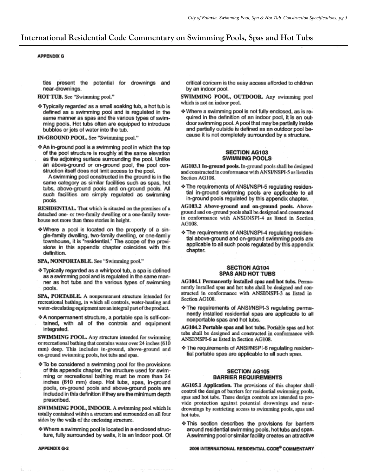#### **APPENDIX G**

ties present the potential for drownings and near-drownings.

#### HOT TUB, See "Swimming pool."

♦ Typically regarded as a small soaking tub, a hot tub is defined as a swimming pool and is regulated in the same manner as spas and the various types of swimming pools. Hot tubs often are equipped to introduce bubbles or jets of water into the tub.

IN-GROUND POOL. See "Swimming pool."

♦ An in-ground pool is a swimming pool in which the top of the pool structure is roughly at the same elevation as the adjoining surface surrounding the pool. Unlike an above-ground or on-ground pool, the pool construction itself does not limit access to the pool.

A swimming pool constructed in the ground is in the same category as similar facilities such as spas, hot tubs, above-ground pools and on-ground pools. All such facilities are simply regulated as swimming pools.

RESIDENTIAL. That which is situated on the premises of a detached one- or two-family dwelling or a one-family townhouse not more than three stories in height.

Where a pool is located on the property of a single-family dwelling, two-family dwelling, or one-family townhouse, it is "residential." The scope of the provisions in this appendix chapter coincides with this definition.

SPA, NONPORTABLE. See "Swimming pool."

♦ Typically regarded as a whirlpool tub, a spa is defined as a swimming pool and is regulated in the same manner as hot tubs and the various types of swimming pools.

SPA, PORTABLE. A nonpermanent structure intended for recreational bathing, in which all controls, water-heating and water-circulating equipment are an integral part of the product.

→ A nonpermanent structure, a portable spa is self-contained, with all of the controls and equipment integrated.

SWIMMING POOL. Any structure intended for swimming or recreational bathing that contains water over 24 inches (610 mm) deep. This includes in-ground, above-ground and on-ground swimming pools, hot tubs and spas.

To be considered a swimming pool for the provisions of this appendix chapter, the structure used for swimming or recreational bathing must be more than 24 inches (610 mm) deep. Hot tubs, spas, in-ground pools, on-ground pools and above-ground pools are included in this definition if they are the minimum depth prescribed.

SWIMMING POOL, INDOOR. A swimming pool which is totally contained within a structure and surrounded on all four sides by the walls of the enclosing structure.

♦ Where a swimming pool is located in a enclosed structure, fully surrounded by walls, it is an indoor pool. Of

**APPENDIX G-2** 

critical concern is the easy access afforded to children by an indoor pool.

SWIMMING POOL, OUTDOOR. Any swimming pool which is not an indoor pool.

If Where a swimming pool is not fully enclosed, as is required in the definition of an indoor pool, it is an outdoor swimming pool. A pool that may be partially inside and partially outside is defined as an outdoor pool because it is not completely surrounded by a structure.

### **SECTION AG103 SWIMMING POOLS**

AG103.1 In-ground pools. In-ground pools shall be designed and constructed in conformance with ANSI/NSPI-5 as listed in Section AG108.

The requirements of ANSI/NSPI-5 regulating residential in-ground swimming pools are applicable to all in-ground pools regulated by this appendix chapter.

AG103.2 Above-ground and on-ground pools. Aboveground and on-ground pools shall be designed and constructed in conformance with ANSI/NSPI-4 as listed in Section AG108.

The requirements of ANSI/NSPI-4 regulating residential above-ground and on-ground swimming pools are applicable to all such pools regulated by this appendix chapter.

### SECTION AG104 **SPAS AND HOT TUBS**

AG104.1 Permanently installed spas and hot tubs. Permanently installed spas and hot tubs shall be designed and constructed in conformance with ANSI/NSPI-3 as listed in Section AG108.

♦ The requirements of ANSI/NSPI-3 regulating permanently installed residential spas are applicable to all nonportable spas and hot tubs.

AG104.2 Portable spas and hot tubs. Portable spas and hot tubs shall be designed and constructed in conformance with ANSI/NSPI-6 as listed in Section AG108.

The requirements of ANSI/NSPI-6 regulating residential portable spas are applicable to all such spas.

### SECTION AG105 **BARRIER REQUIREMENTS**

AG105.1 Application. The provisions of this chapter shall control the design of barriers for residential swimming pools, spas and hot tubs. These design controls are intended to provide protection against potential drownings and neardrownings by restricting access to swimming pools, spas and hot tubs.

This section describes the provisions for barriers around residential swimming pools, hot tubs and spas. A swimming pool or similar facility creates an attractive

2006 INTERNATIONAL RESIDENTIAL CODE<sup>®</sup> COMMENTARY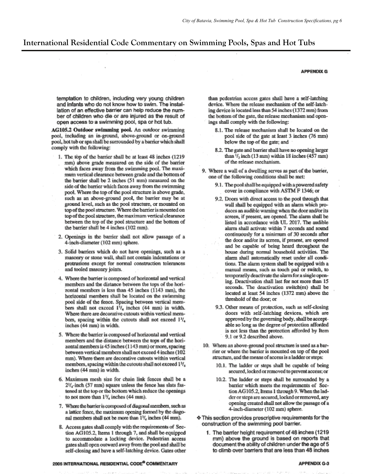#### **APPENDIX G**

temptation to children, including very young children and infants who do not know how to swim. The installation of an effective barrier can help reduce the number of children who die or are injured as the result of open access to a swimming pool, spa or hot tub.

AG105.2 Outdoor swimming pool. An outdoor swimming pool, including an in-ground, above-ground or on-ground pool, hot tub or spa shall be surrounded by a barrier which shall comply with the following:

- 1. The top of the barrier shall be at least 48 inches (1219) mm) above grade measured on the side of the barrier which faces away from the swimming pool. The maximum vertical clearance between grade and the bottom of the barrier shall be 2 inches (51 mm) measured on the side of the barrier which faces away from the swimming pool. Where the top of the pool structure is above grade, such as an above-ground pool, the barrier may be at ground level, such as the pool structure, or mounted on top of the pool structure. Where the barrier is mounted on top of the pool structure, the maximum vertical clearance between the top of the pool structure and the bottom of the barrier shall be 4 inches (102 mm).
- 2. Openings in the barrier shall not allow passage of a 4-inch-diameter (102 mm) sphere.
- 3. Solid barriers which do not have openings, such as a masonry or stone wall, shall not contain indentations or protrusions except for normal construction tolerances and tooled masonry joints.
- 4. Where the barrier is composed of horizontal and vertical members and the distance between the tops of the horizontal members is less than 45 inches (1143 mm), the horizontal members shall be located on the swimming pool side of the fence. Spacing between vertical members shall not exceed  $1\frac{1}{4}$  inches (44 mm) in width. Where there are decorative cutouts within vertical members, spacing within the cutouts shall not exceed  $1<sup>3</sup>/4$ inches (44 mm) in width.
- 5. Where the barrier is composed of horizontal and vertical members and the distance between the tops of the horizontal members is 45 inches (1143 mm) or more, spacing between vertical members shall not exceed 4 inches (102 mm). Where there are decorative cutouts within vertical members, spacing within the cutouts shall not exceed 1<sup>3</sup>/<sub>4</sub> inches (44 mm) in width.
- 6. Maximum mesh size for chain link fences shall be a  $2V_4$ -inch (57 mm) square unless the fence has slats fastened at the top or the bottom which reduce the openings to not more than  $1\frac{3}{4}$  inches (44 mm).
- 7. Where the barrier is composed of diagonal members, such as a lattice fence, the maximum opening formed by the diagonal members shall not be more than  $1\frac{1}{4}$  inches (44 mm).
- 8. Access gates shall comply with the requirements of Section AG105.2, Items 1 through 7, and shall be equipped to accommodate a locking device. Pedestrian access gates shall open outward away from the pool and shall be self-closing and have a self-latching device. Gates other

than pedestrian access gates shall have a self-latching device. Where the release mechanism of the self-latching device is located less than 54 inches (1372 mm) from the bottom of the gate, the release mechanism and openings shall comply with the following:

- 8.1. The release mechanism shall be located on the pool side of the gate at least 3 inches (76 mm) below the top of the gate; and
- 8.2. The gate and barrier shall have no opening larger than  $\frac{1}{2}$  inch (13 mm) within 18 inches (457 mm) of the release mechanism.
- 9. Where a wall of a dwelling serves as part of the barrier, one of the following conditions shall be met:
	- 9.1. The pool shall be equipped with a powered safety cover in compliance with ASTM F 1346; or
	- 9.2. Doors with direct access to the pool through that wall shall be equipped with an alarm which produces an audible warning when the door and/or its screen, if present, are opened. The alarm shall be listed in accordance with UL 2017. The audible alarm shall activate within 7 seconds and sound continuously for a minimum of 30 seconds after the door and/or its screen, if present, are opened and be capable of being heard throughout the house during normal household activities. The alarm shall automatically reset under all conditions. The alarm system shall be equipped with a manual means, such as touch pad or switch, to temporarily deactivate the alarm for a single opening. Deactivation shall last for not more than 15 seconds. The deactivation switch(es) shall be located at least 54 inches (1372 mm) above the threshold of the door; or
	- 9.3. Other means of protection, such as self-closing doors with self-latching devices, which are approved by the governing body, shall be acceptable so long as the degree of protection afforded is not less than the protection afforded by Item 9.1 or 9.2 described above.
- 10. Where an above-ground pool structure is used as a barrier or where the barrier is mounted on top of the pool structure, and the means of access is a ladder or steps:
	- 10.1. The ladder or steps shall be capable of being secured, locked or removed to prevent access; or
	- 10.2. The ladder or steps shall be surrounded by a barrier which meets the requirements of Section AG105.2, Items 1 through 9. When the ladder or steps are secured, locked or removed, any opening created shall not allow the passage of a 4-inch-diameter (102 mm) sphere.
- This section provides prescriptive requirements for the construction of the swimming pool barrier.
	- 1. The barrier height requirement of 48 inches (1219 mm) above the ground is based on reports that document the ability of children under the age of 5 to climb over barriers that are less than 48 inches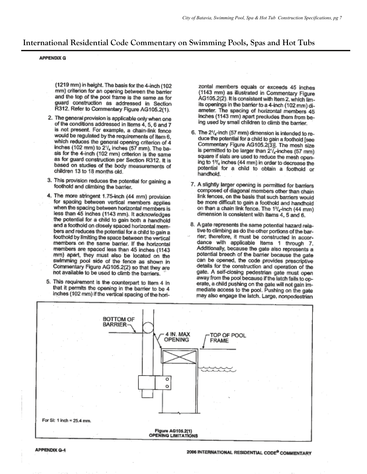**APPENDIX G** 

(1219 mm) in height. The basis for the 4-inch (102 mm) criterion for an opening between the barrier and the top of the pool frame is the same as for quard construction as addressed in Section R312. Refer to Commentary Figure AG105.2(1).

- 2. The general provision is applicable only when one of the conditions addressed in Items 4, 5, 6 and 7 is not present. For example, a chain-link fence would be regulated by the requirements of Item 6, which reduces the general opening criterion of 4 inches (102 mm) to 21/4 inches (57 mm). The basis for the 4-inch (102 mm) criterion is the same as for guard construction per Section R312. It is based on studies of the body measurements of children 13 to 18 months old.
- 3. This provision reduces the potential for gaining a foothold and climbing the barrier.
- 4. The more stringent 1.75-inch (44 mm) provision for spacing between vertical members applies when the spacing between horizontal members is less than 45 inches (1143 mm). It acknowledges the potential for a child to gain both a handhold and a foothold on closely spaced horizontal members and reduces the potential for a child to gain a foothold by limiting the space between the vertical members on the same barrier. If the horizontal members are spaced less than 45 inches (1143 mm) apart, they must also be located on the swimming pool side of the fence as shown in Commentary Figure AG105.2(2) so that they are not available to be used to climb the barriers.
- 5. This requirement is the counterpart to Item 4 in that it permits the opening in the barrier to be 4 inches (102 mm) if the vertical spacing of the hori-

zontal members equals or exceeds 45 inches (1143 mm) as illustrated in Commentary Figure AG105.2(2). It is consistent with Item 2, which limits openings in the barrier to a 4-inch (102 mm) diameter. The spacing of horizontal members 45 inches (1143 mm) apart precludes them from being used by small children to climb the barrier.

- 6. The 21/4-inch (57 mm) dimension is intended to reduce the potential for a child to gain a foothold [see Commentary Figure AG105.2(3)]. The mesh size is permitted to be larger than 21/4-inches (57 mm) square if slats are used to reduce the mesh opening to 1% inches (44 mm) in order to decrease the potential for a child to obtain a foothold or handhold.
- 7. A slightly larger opening is permitted for barriers composed of diagonal members other than chain link fences, on the basis that such barriers would be more difficult to gain a foothold and handhold on than a chain link fence. The 13/2-inch (44 mm) dimension is consistent with Items 4, 5 and 6.
- 8. A gate represents the same potential hazard relative to climbing as do the other portions of the barrier; therefore, it must be constructed in accordance with applicable Items 1 through 7. Additionally, because the gate also represents a potential breech of the barrier because the gate can be opened, the code provides prescriptive details for the construction and operation of the gate. A self-closing pedestrian gate must open away from the pool because if the latch fails to operate, a child pushing on the gate will not gain immediate access to the pool. Pushing on the gate may also engage the latch. Large, nonpedestrian

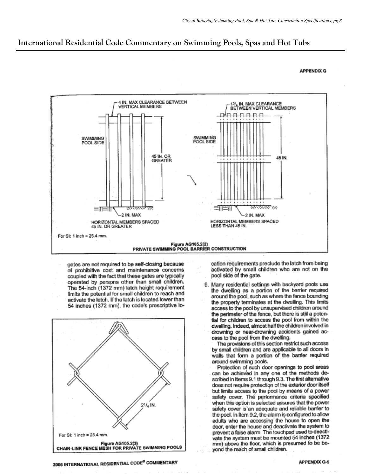#### **APPENDIX G**



gates are not required to be self-closing because of prohibitive cost and maintenance concerns coupled with the fact that these gates are typically operated by persons other than small children. The 54-inch (1372 mm) latch height requirement limits the potential for small children to reach and activate the latch. If the latch is located lower than 54 inches (1372 mm), the code's prescriptive lo-



2005 INTERNATIONAL RESIDENTIAL CODE® COMMENTARY

cation requirements preclude the latch from being activated by small children who are not on the pool side of the gate.

9. Many residential settings with backyard pools use the dwelling as a portion of the barrier required around the pool, such as where the fence bounding the property terminates at the dwelling. This limits access to the pool by unsupervised children around the perimeter of the fence, but there is still a potential for children to access the pool from within the dwelling. Indeed, almost half the children involved in drowning or near-drowning accidents gained access to the pool from the dwelling.

The provisions of this section restrict such access by small children and are applicable to all doors in walls that form a portion of the barrier required around swimming pools.

Protection of such door openings to pool areas can be achieved in any one of the methods described in Items 9.1 through 9.3. The first alternative does not require protection of the exterior door itself but limits access to the pool by means of a power safety cover. The performance criteria specified when this option is selected assures that the power safety cover is an adequate and reliable barrier to the pool. In item 9.2, the alarm is configured to allow adults who are accessing the house to open the door, enter the house and deactivate the system to prevent a false alarm. The touchpad used to deactivate the system must be mounted 54 inches (1372 mm) above the floor, which is presumed to be beyond the reach of small children.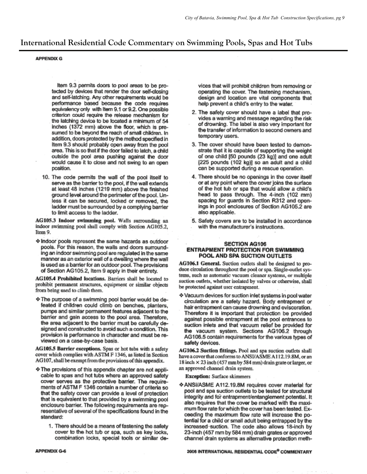### **APPENDIX G**

Item 9.3 permits doors to pool areas to be protected by devices that render the door self-closing and self-latching. Any other requirements would be performance based because the code requires equivalency only with Item 9.1 or 9.2. One possible criterion could require the release mechanism for the latching device to be located a minimum of 54 inches (1372 mm) above the floor, which is presumed to be beyond the reach of small children. In addition, doors protected by the method specified in Item 9.3 should probably open away from the pool area. This is so that if the door failed to latch, a child outside the pool area pushing against the door would cause it to close and not swing to an open position.

10. The code permits the wall of the pool itself to serve as the barrier to the pool, if the wall extends at least 48 inches (1219 mm) above the finished ground level around the perimeter of the pool. Unless it can be secured, locked or removed, the ladder must be surrounded by a complying barrier to limit access to the ladder.

AG105.3 Indoor swimming pool. Walls surrounding an indoor swimming pool shall comply with Section AG105.2, Item 9.

Indoor pools represent the same hazards as outdoor pools. For this reason, the walls and doors surrounding an indoor swimming pool are regulated in the same manner as an exterior wall of a dwelling where the wall is used as a barrier for an outdoor pool. The provisions of Section AG105.2, Item 9 apply in their entirety.

AG105.4 Prohibited locations. Barriers shall be located to prohibit permanent structures, equipment or similar objects from being used to climb them.

\* The purpose of a swimming pool barrier would be defeated if children could climb on benches, planters, pumps and similar permanent features adjacent to the barrier and gain access to the pool area. Therefore, the area adjacent to the barrier must be carefully designed and constructed to avoid such a condition. This provision is performance in character and must be reviewed on a case-by-case basis.

AG105.5 Barrier exceptions. Spas or hot tubs with a safety cover which complies with ASTM F 1346, as listed in Section AG107, shall be exempt from the provisions of this appendix.

- ♦ The provisions of this appendix chapter are not applicable to spas and hot tubs where an approved safety cover serves as the protective barrier. The requirements of ASTM F 1346 contain a number of criteria so that the safety cover can provide a level of protection that is equivalent to that provided by a swimming pool enclosure barrier. The following requirements are representative of several of the specifications found in the standard:
	- 1. There should be a means of fastening the safety cover to the hot tub or spa, such as key locks, combination locks, special tools or similar de-

vices that will prohibit children from removing or operating the cover. The fastening mechanism. design and location are vital components that help prevent a child's entry to the water.

- 2. The safety cover should have a label that provides a warning and message regarding the risk of drowning. The label is also very important for the transfer of information to second owners and temporary users.
- 3. The cover should have been tested to demonstrate that it is capable of supporting the weight of one child [50 pounds (23 kg)] and one adult [225 pounds (102 kg)] so an adult and a child can be supported during a rescue operation.
- 4. There should be no openings in the cover itself or at any point where the cover joins the surface of the hot tub or spa that would allow a child's head to pass through. The 4-inch (102 mm) spacing for guards in Section R312 and openings in pool enclosures of Section AG105.2 are also applicable.
- 5. Safety covers are to be installed in accordance with the manufacturer's instructions.

#### **SECTION AG106 ENTRAPMENT PROTECTION FOR SWIMMING** POOL AND SPA SUCTION OUTLETS.

AG106.1 General. Suction outlets shall be designed to produce circulation throughout the pool or spa. Single-outlet systems, such as automatic vacuum cleaner systems, or multiple suction outlets, whether isolated by valves or otherwise, shall be protected against user entrapment.

\* Vacuum devices for suction inlet systems in pool water circulation are a safety hazard. Body entrapment or hair entrapment can cause drowning and evisceration. Therefore it is important that protection be provided against possible entrapment at the pool entrances to suction inlets and that vacuum relief be provided for the vacuum system. Sections AG106.2 through AG106.5 contain requirements for the various types of safety devices.

AG106.2 Suction fittings. Pool and spa suction outlets shall have a cover that conforms to ANSI/ASME A112.19.8M, or an 18 inch × 23 inch (457 mm by 584 mm) drain grate or larger, or an approved channel drain system.

**Exception:** Surface skimmers

In ANSI/ASME A112.19.8M requires cover material for pool and spa suction outlets to be tested for structural integrity and for entrapment/entanglement potential. It also requires that the cover be marked with the maximum flow rate for which the cover has been tested. Exceeding the maximum flow rate will increase the potential for a child or small adult being entrapped by the increased suction. The code also allows 18-inch by 23-inch (457 mm by 584 mm) drain grates or approved channel drain systems as alternative protection meth-

2006 INTERNATIONAL RESIDENTIAL CODE® COMMENTARY